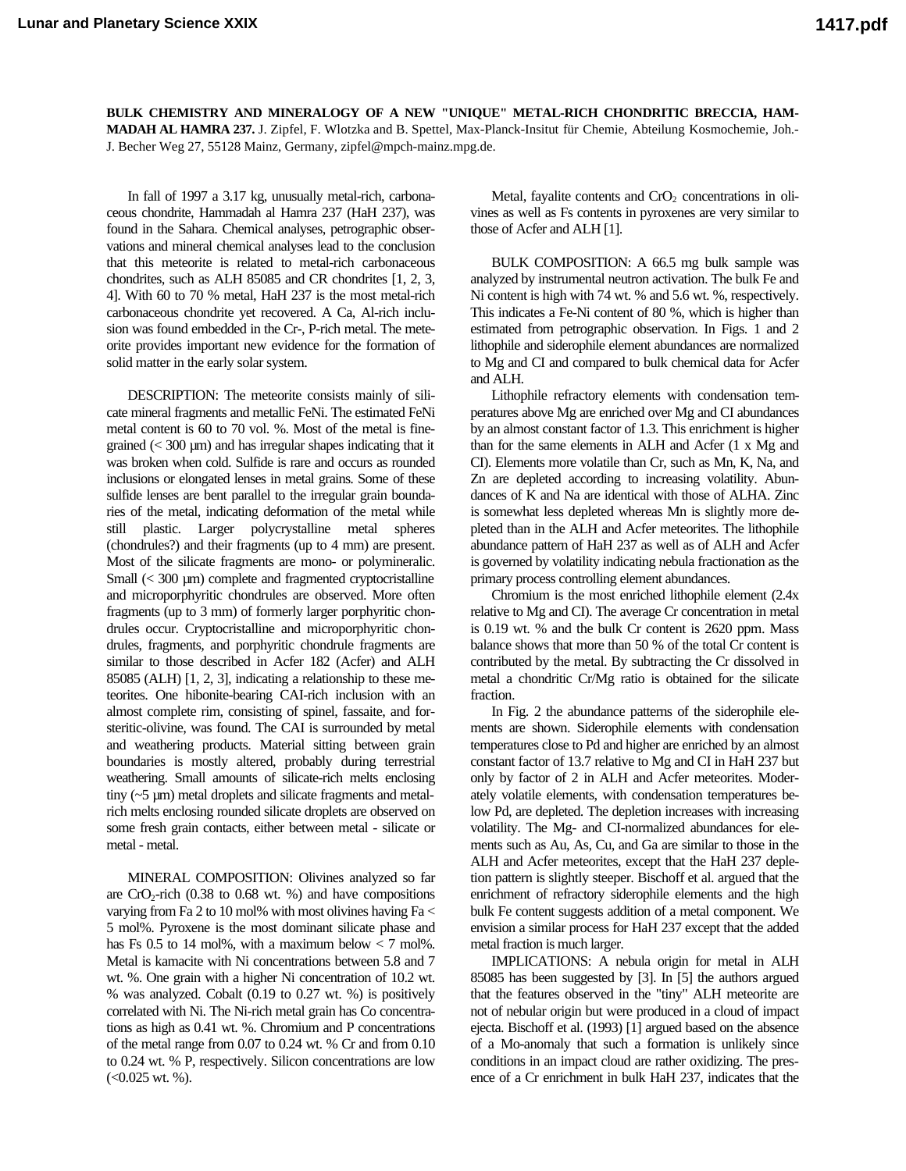**BULK CHEMISTRY AND MINERALOGY OF A NEW "UNIQUE" METAL-RICH CHONDRITIC BRECCIA, HAM-MADAH AL HAMRA 237.** J. Zipfel, F. Wlotzka and B. Spettel, Max-Planck-Insitut für Chemie, Abteilung Kosmochemie, Joh.- J. Becher Weg 27, 55128 Mainz, Germany, zipfel@mpch-mainz.mpg.de.

In fall of 1997 a 3.17 kg, unusually metal-rich, carbonaceous chondrite, Hammadah al Hamra 237 (HaH 237), was found in the Sahara. Chemical analyses, petrographic observations and mineral chemical analyses lead to the conclusion that this meteorite is related to metal-rich carbonaceous chondrites, such as ALH 85085 and CR chondrites [1, 2, 3, 4]. With 60 to 70 % metal, HaH 237 is the most metal-rich carbonaceous chondrite yet recovered. A Ca, Al-rich inclusion was found embedded in the Cr-, P-rich metal. The meteorite provides important new evidence for the formation of solid matter in the early solar system.

DESCRIPTION: The meteorite consists mainly of silicate mineral fragments and metallic FeNi. The estimated FeNi metal content is 60 to 70 vol. %. Most of the metal is finegrained  $( $300 \mu m$ )$  and has irregular shapes indicating that it was broken when cold. Sulfide is rare and occurs as rounded inclusions or elongated lenses in metal grains. Some of these sulfide lenses are bent parallel to the irregular grain boundaries of the metal, indicating deformation of the metal while still plastic. Larger polycrystalline metal spheres (chondrules?) and their fragments (up to 4 mm) are present. Most of the silicate fragments are mono- or polymineralic. Small (< 300 µm) complete and fragmented cryptocristalline and microporphyritic chondrules are observed. More often fragments (up to 3 mm) of formerly larger porphyritic chondrules occur. Cryptocristalline and microporphyritic chondrules, fragments, and porphyritic chondrule fragments are similar to those described in Acfer 182 (Acfer) and ALH 85085 (ALH) [1, 2, 3], indicating a relationship to these meteorites. One hibonite-bearing CAI-rich inclusion with an almost complete rim, consisting of spinel, fassaite, and forsteritic-olivine, was found. The CAI is surrounded by metal and weathering products. Material sitting between grain boundaries is mostly altered, probably during terrestrial weathering. Small amounts of silicate-rich melts enclosing tiny (~5 µm) metal droplets and silicate fragments and metalrich melts enclosing rounded silicate droplets are observed on some fresh grain contacts, either between metal - silicate or metal - metal.

MINERAL COMPOSITION: Olivines analyzed so far are  $CrO<sub>2</sub>$ -rich (0.38 to 0.68 wt. %) and have compositions varying from Fa 2 to 10 mol% with most olivines having Fa < 5 mol%. Pyroxene is the most dominant silicate phase and has Fs 0.5 to 14 mol%, with a maximum below  $< 7$  mol%. Metal is kamacite with Ni concentrations between 5.8 and 7 wt. %. One grain with a higher Ni concentration of 10.2 wt. % was analyzed. Cobalt (0.19 to 0.27 wt. %) is positively correlated with Ni. The Ni-rich metal grain has Co concentrations as high as 0.41 wt. %. Chromium and P concentrations of the metal range from 0.07 to 0.24 wt. % Cr and from 0.10 to 0.24 wt. % P, respectively. Silicon concentrations are low  $(<0.025$  wt. %).

Metal, fayalite contents and  $CrO<sub>2</sub>$  concentrations in olivines as well as Fs contents in pyroxenes are very similar to those of Acfer and ALH [1].

BULK COMPOSITION: A 66.5 mg bulk sample was analyzed by instrumental neutron activation. The bulk Fe and Ni content is high with 74 wt. % and 5.6 wt. %, respectively. This indicates a Fe-Ni content of 80 %, which is higher than estimated from petrographic observation. In Figs. 1 and 2 lithophile and siderophile element abundances are normalized to Mg and CI and compared to bulk chemical data for Acfer and ALH.

Lithophile refractory elements with condensation temperatures above Mg are enriched over Mg and CI abundances by an almost constant factor of 1.3. This enrichment is higher than for the same elements in ALH and Acfer (1 x Mg and CI). Elements more volatile than Cr, such as Mn, K, Na, and Zn are depleted according to increasing volatility. Abundances of K and Na are identical with those of ALHA. Zinc is somewhat less depleted whereas Mn is slightly more depleted than in the ALH and Acfer meteorites. The lithophile abundance pattern of HaH 237 as well as of ALH and Acfer is governed by volatility indicating nebula fractionation as the primary process controlling element abundances.

Chromium is the most enriched lithophile element (2.4x relative to Mg and CI). The average Cr concentration in metal is 0.19 wt. % and the bulk Cr content is 2620 ppm. Mass balance shows that more than 50 % of the total Cr content is contributed by the metal. By subtracting the Cr dissolved in metal a chondritic Cr/Mg ratio is obtained for the silicate fraction.

In Fig. 2 the abundance patterns of the siderophile elements are shown. Siderophile elements with condensation temperatures close to Pd and higher are enriched by an almost constant factor of 13.7 relative to Mg and CI in HaH 237 but only by factor of 2 in ALH and Acfer meteorites. Moderately volatile elements, with condensation temperatures below Pd, are depleted. The depletion increases with increasing volatility. The Mg- and CI-normalized abundances for elements such as Au, As, Cu, and Ga are similar to those in the ALH and Acfer meteorites, except that the HaH 237 depletion pattern is slightly steeper. Bischoff et al. argued that the enrichment of refractory siderophile elements and the high bulk Fe content suggests addition of a metal component. We envision a similar process for HaH 237 except that the added metal fraction is much larger.

IMPLICATIONS: A nebula origin for metal in ALH 85085 has been suggested by [3]. In [5] the authors argued that the features observed in the "tiny" ALH meteorite are not of nebular origin but were produced in a cloud of impact ejecta. Bischoff et al. (1993) [1] argued based on the absence of a Mo-anomaly that such a formation is unlikely since conditions in an impact cloud are rather oxidizing. The presence of a Cr enrichment in bulk HaH 237, indicates that the